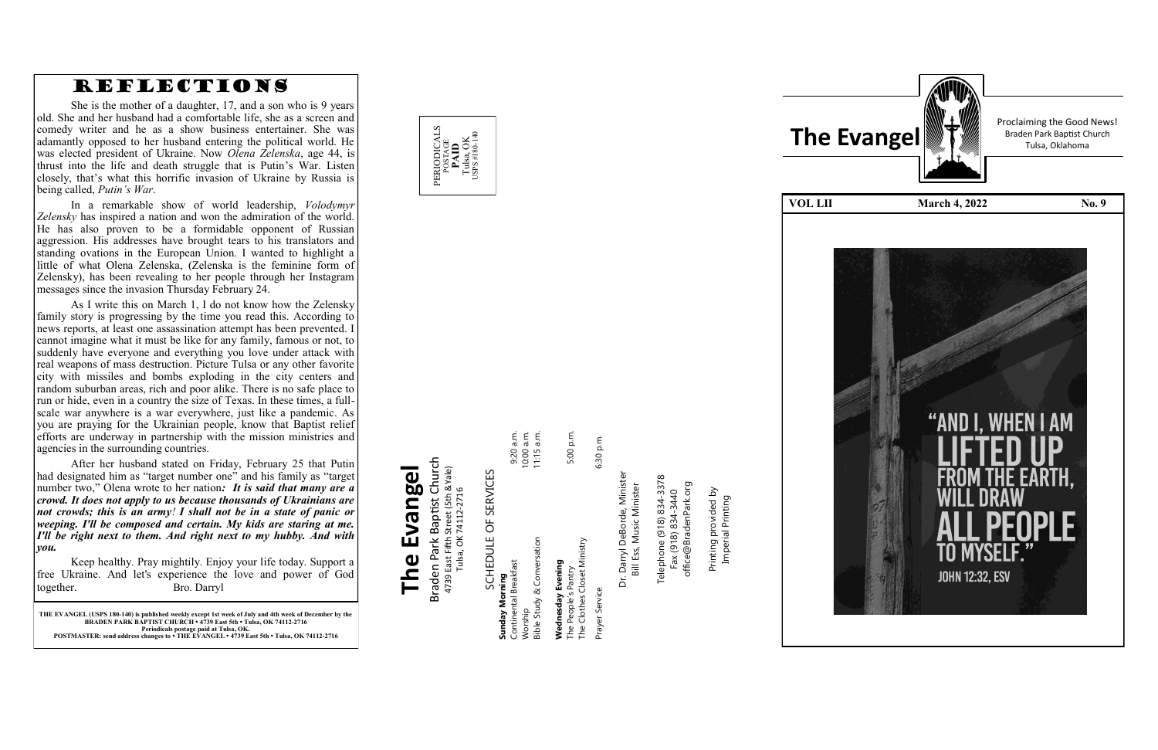

**THE EVANGEL (USPS 180 -140) is published weekly except 1st week of July and 4th week of December by the BRADEN PARK BAPTIST CHURCH • 4739 East 5th • Tulsa, OK 74112 -2716 Periodicals postage paid at Tulsa, OK. POSTMASTER: send address changes to • THE EVANGEL • 4739 East 5th • Tulsa, OK 74112 -2716**

### Braden Park Baptist Church<br>4739 East Fifth Street (5th &Yale)<br>Tulsa, OK 74112-2716 Braden Park Baptist Church Evangel **The Evangel** 4739 East Fifth Street (5th &Yale) **The**

POSTAGE<br>**PAID**<br>Tulsa, OK<br>sps#180-14 USPS #180-140

# SCHEDULE OF SERVICES SCHEDULE OF SERVICES

PERIODICALS

Prayer Service 6:30 p.m. Dr. Darryl DeBorde, Minister Darryl DeBorde, Minister Bill Ess, Music Minister  $Dr.$ Service

Prayer:

6:30 p.m.

Telephone (918) 834-3378<br>Fax (918) 834-3440<br>office@BradenPark.org Telephone (918) 834-3378 Fax (918) 834-3440

Tulsa, OK 74112-2716

| Sunday Morning              |            |
|-----------------------------|------------|
| Continental Breakfast       | 9:20 a.m.  |
| Worship                     | 10:00 a.m. |
| Bible Study & Conversation  | 11:15 a.m. |
| Wednesday Evening           |            |
| The People's Pantry         | 5:00 p.m.  |
| The Clothes Closet Ministry |            |

Bill Ess, Music Minister

rinting provided by<br>Imperial Printing office@BradenPark.org Printing provided by Printing

Imperial Printing

| The    | ſ |
|--------|---|
|        |   |
| OL LII |   |
|        |   |
|        |   |
|        |   |
|        |   |
|        |   |
|        |   |
|        |   |
|        |   |
|        |   |
|        |   |
|        |   |
|        |   |
|        |   |
|        |   |
|        |   |
|        |   |
|        |   |
|        |   |
|        |   |
|        |   |
|        |   |
|        |   |
|        |   |

Proclaiming the Good News!



### REFLECTIONS

She is the mother of a daughter, 17, and a son who is 9 years old. She and her husband had a comfortable life, she as a screen and comedy writer and he as a show business entertainer. She was adamantly opposed to her husband entering the political world. He was elected president of Ukraine. Now *Olena Zelenska*, age 44, is thrust into the life and death struggle that is Putin 's War. Listen closely, that 's what this horrific invasion of Ukraine by Russia is being called, *Putin 's War* .

In a remarkable show of world leadership, *Volodymyr Zelensky* has inspired a nation and won the admiration of the world. He has also proven to be a formidable opponent of Russian aggression. His addresses have brought tears to his translators and standing ovations in the European Union. I wanted to highlight a little of what Olena Zelenska, (Zelenska is the feminine form of Zelensky), has been revealing to her people through her Instagram messages since the invasion Thursday February 24.

As I write this on March 1, I do not know how the Zelensky family story is progressing by the time you read this. According to news reports, at least one assassination attempt has been prevented. I cannot imagine what it must be like for any family, famous or not, to suddenly have everyone and everything you love under attack with real weapons of mass destruction. Picture Tulsa or any other favorite city with missiles and bombs exploding in the city centers and random suburban areas, rich and poor alike. There is no safe place to run or hide, even in a country the size of Texas. In these times, a full scale war anywhere is a war everywhere, just like a pandemic. As you are praying for the Ukrainian people, know that Baptist relief efforts are underway in partnership with the mission ministries and agencies in the surrounding countries.

After her husband stated on Friday, February 25 that Putin had designated him as "target number one" and his family as "target number two," Olena wrote to her nation*: It is said that many are a crowd. It does not apply to us because thousands of Ukrainians are not crowds; this is an army! I shall not be in a state of panic or weeping. I'll be composed and certain. My kids are staring at me. I'll be right next to them. And right next to my hubby. And with you.* 

Keep healthy. Pray mightily. Enjoy your life today. Support a free Ukraine. And let's experience the love and power of God together. Bro. Darryl